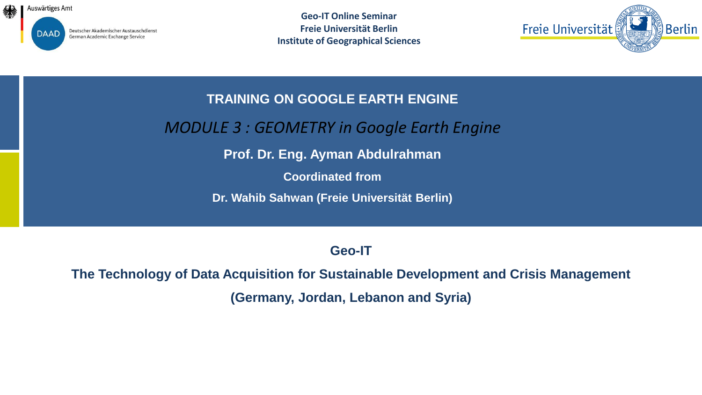

Deutscher Akademischer Austauschdienst German Academic Exchange Service

**Geo-IT Online Seminar Freie Universität Berlin Institute of Geographical Sciences**



**TRAINING ON GOOGLE EARTH ENGINE** 

*MODULE 3 : GEOMETRY in Google Earth Engine*

**Prof. Dr. Eng. Ayman Abdulrahman**

**Coordinated from**

**Dr. Wahib Sahwan (Freie Universität Berlin)** 

**Geo-IT**

**The Technology of Data Acquisition for Sustainable Development and Crisis Management (Germany, Jordan, Lebanon and Syria)**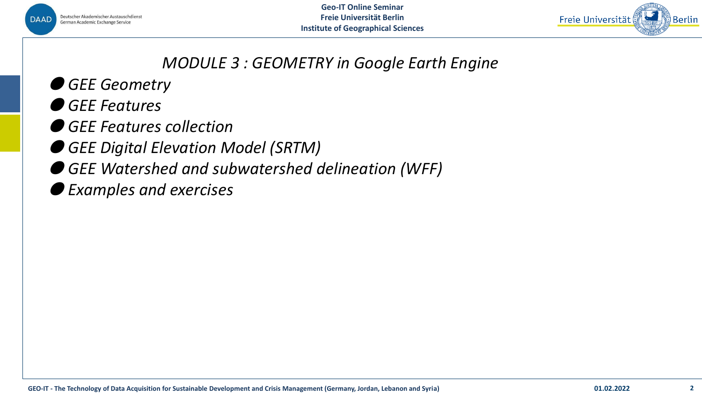



## *MODULE 3 : GEOMETRY in Google Earth Engine*

- *GEE Geometry*
- *GEE Features*
- *GEE Features collection*
- *GEE Digital Elevation Model (SRTM)*
- *GEE Watershed and subwatershed delineation (WFF)*
- *Examples and exercises*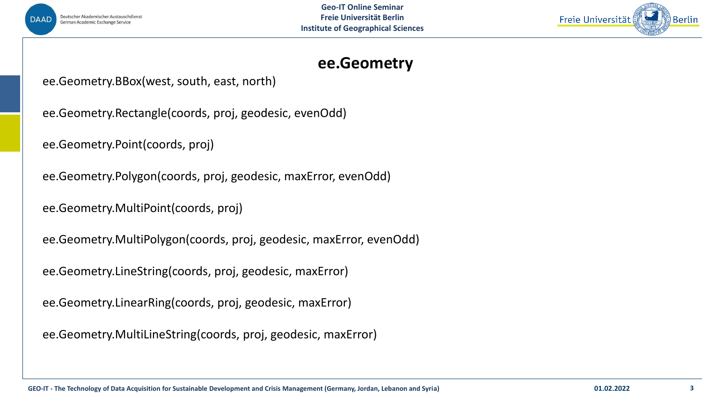



## **ee.Geometry**

ee.Geometry.BBox(west, south, east, north)

ee.Geometry.Rectangle(coords, proj, geodesic, evenOdd)

ee.Geometry.Point(coords, proj)

ee.Geometry.Polygon(coords, proj, geodesic, maxError, evenOdd)

ee.Geometry.MultiPoint(coords, proj)

ee.Geometry.MultiPolygon(coords, proj, geodesic, maxError, evenOdd)

ee.Geometry.LineString(coords, proj, geodesic, maxError)

ee.Geometry.LinearRing(coords, proj, geodesic, maxError)

ee.Geometry.MultiLineString(coords, proj, geodesic, maxError)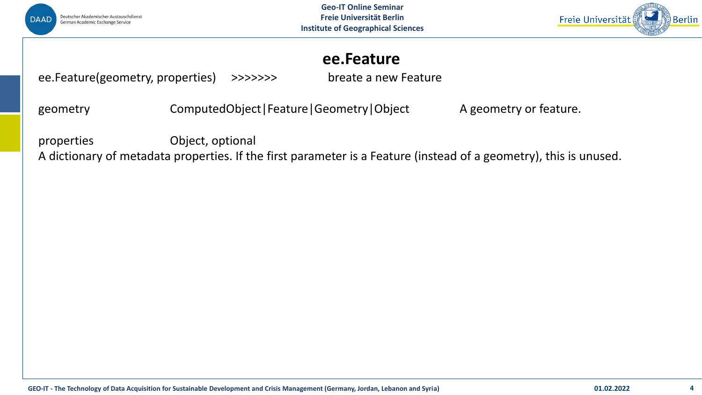



## **ee.Feature**

ee.Feature(geometry, properties) >>>>>>> breate a new Feature

geometry **Example ComputedObject|Feature|Geometry|Object** A geometry or feature.

properties Object, optional

A dictionary of metadata properties. If the first parameter is a Feature (instead of a geometry), this is unused.